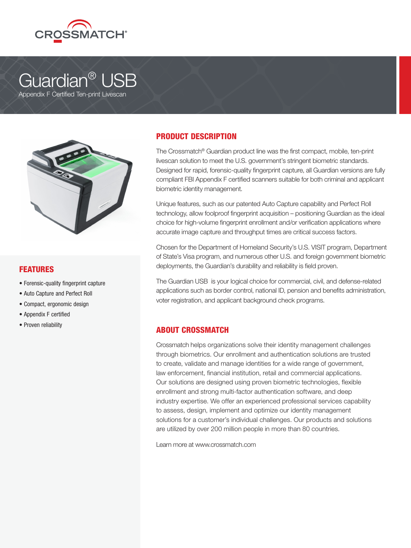

# Guardian® USB

Appendix F Certified Ten-print Livescan



### FEATURES

- Forensic-quality fingerprint capture
- Auto Capture and Perfect Roll
- Compact, ergonomic design
- Appendix F certified
- Proven reliability

### PRODUCT DESCRIPTION

The Crossmatch® Guardian product line was the first compact, mobile, ten-print livescan solution to meet the U.S. government's stringent biometric standards. Designed for rapid, forensic-quality fingerprint capture, all Guardian versions are fully compliant FBI Appendix F certified scanners suitable for both criminal and applicant biometric identity management.

Unique features, such as our patented Auto Capture capability and Perfect Roll technology, allow foolproof fingerprint acquisition – positioning Guardian as the ideal choice for high-volume fingerprint enrollment and/or verification applications where accurate image capture and throughput times are critical success factors.

Chosen for the Department of Homeland Security's U.S. VISIT program, Department of State's Visa program, and numerous other U.S. and foreign government biometric deployments, the Guardian's durability and reliability is field proven.

The Guardian USB is your logical choice for commercial, civil, and defense-related applications such as border control, national ID, pension and benefits administration, voter registration, and applicant background check programs.

### ABOUT CROSSMATCH

Crossmatch helps organizations solve their identity management challenges through biometrics. Our enrollment and authentication solutions are trusted to create, validate and manage identities for a wide range of government, law enforcement, financial institution, retail and commercial applications. Our solutions are designed using proven biometric technologies, flexible enrollment and strong multi-factor authentication software, and deep industry expertise. We offer an experienced professional services capability to assess, design, implement and optimize our identity management solutions for a customer's individual challenges. Our products and solutions are utilized by over 200 million people in more than 80 countries.

Learn more at www.crossmatch.com